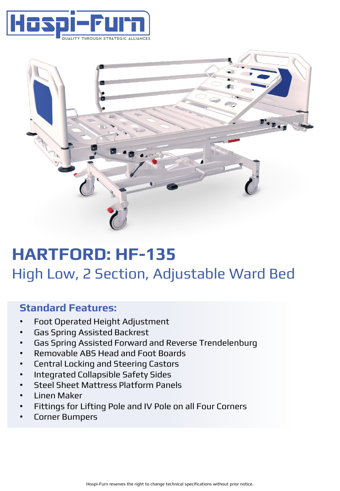



# **HARTFORD: HF-135** High Low, 2 Section, Adjustable Ward Bed

### **Standard Features:**

- Foot Operated Height Adjustment
- Gas Spring Assisted Backrest
- Gas Spring Assisted Forward and Reverse Trendelenburg
- Removable ABS Head and Foot Boards
- Central Locking and Steering Castors
- Integrated Collapsible Safety Sides
- Steel Sheet Mattress Platform Panels
- Linen Maker
- Fittings for Lifting Pole and IV Pole on all Four Corners
- Corner Bumpers